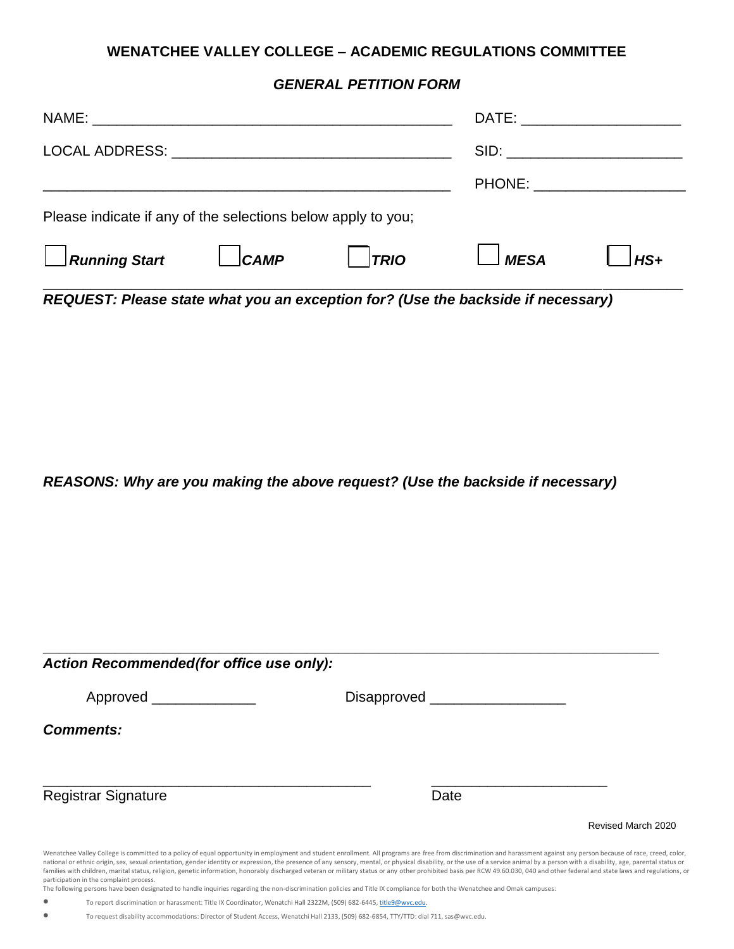## **WENATCHEE VALLEY COLLEGE – ACADEMIC REGULATIONS COMMITTEE**

## *GENERAL PETITION FORM*

| Please indicate if any of the selections below apply to you; |      |      |             |       |
|--------------------------------------------------------------|------|------|-------------|-------|
| $\Box$ Running Start                                         | CAMP | TRIO | <b>MESA</b> | $HS+$ |

*REQUEST: Please state what you an exception for? (Use the backside if necessary)*

*REASONS: Why are you making the above request? (Use the backside if necessary)*

| Action Recommended (for office use only): |                                                                                                                                                                                                                                                                                                                                                                                                                                                           |  |  |  |  |
|-------------------------------------------|-----------------------------------------------------------------------------------------------------------------------------------------------------------------------------------------------------------------------------------------------------------------------------------------------------------------------------------------------------------------------------------------------------------------------------------------------------------|--|--|--|--|
| Approved                                  | Disapproved ___                                                                                                                                                                                                                                                                                                                                                                                                                                           |  |  |  |  |
| <b>Comments:</b>                          |                                                                                                                                                                                                                                                                                                                                                                                                                                                           |  |  |  |  |
|                                           |                                                                                                                                                                                                                                                                                                                                                                                                                                                           |  |  |  |  |
| <b>Registrar Signature</b>                | Date                                                                                                                                                                                                                                                                                                                                                                                                                                                      |  |  |  |  |
|                                           | Revised March 2020                                                                                                                                                                                                                                                                                                                                                                                                                                        |  |  |  |  |
|                                           | Wenatchee Valley College is committed to a policy of equal opportunity in employment and student enrollment. All programs are free from discrimination and harassment against any person because of race, creed, color,<br>no urbanic origin cay cavual originarization applarizionity or expreccion the presence of any sensory mental or physicial disability or the use of a sanice apimal by a person with a disability are parents or being that the |  |  |  |  |

national or ethnic origin, sex, sexual orientation, gender identity or expression, the presence of any sensory, mental, or physical disability, or the use of a service animal by a person with a disability, age, parental st participation in the complaint process.

The following persons have been designated to handle inquiries regarding the non-discrimination policies and Title IX compliance for both the Wenatchee and Omak campuses:

• To report discrimination or harassment: Title IX Coordinator, Wenatchi Hall 2322M, (509) 682-6445[, title9@wvc.edu.](mailto:title9@wvc.edu)

• To request disability accommodations: Director of Student Access, Wenatchi Hall 2133, (509) 682-6854, TTY/TTD: dial 711, sas@wvc.edu.